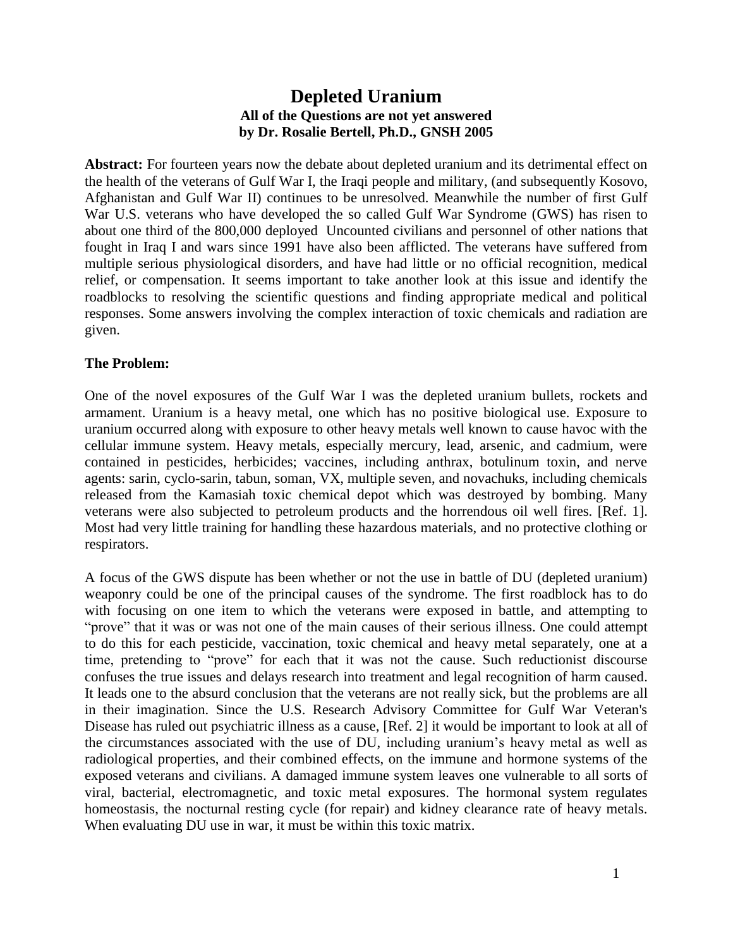# **Depleted Uranium All of the Questions are not yet answered by Dr. Rosalie Bertell, Ph.D., GNSH 2005**

**Abstract:** For fourteen years now the debate about depleted uranium and its detrimental effect on the health of the veterans of Gulf War I, the Iraqi people and military, (and subsequently Kosovo, Afghanistan and Gulf War II) continues to be unresolved. Meanwhile the number of first Gulf War U.S. veterans who have developed the so called Gulf War Syndrome (GWS) has risen to about one third of the 800,000 deployed Uncounted civilians and personnel of other nations that fought in Iraq I and wars since 1991 have also been afflicted. The veterans have suffered from multiple serious physiological disorders, and have had little or no official recognition, medical relief, or compensation. It seems important to take another look at this issue and identify the roadblocks to resolving the scientific questions and finding appropriate medical and political responses. Some answers involving the complex interaction of toxic chemicals and radiation are given.

### **The Problem:**

One of the novel exposures of the Gulf War I was the depleted uranium bullets, rockets and armament. Uranium is a heavy metal, one which has no positive biological use. Exposure to uranium occurred along with exposure to other heavy metals well known to cause havoc with the cellular immune system. Heavy metals, especially mercury, lead, arsenic, and cadmium, were contained in pesticides, herbicides; vaccines, including anthrax, botulinum toxin, and nerve agents: sarin, cyclo-sarin, tabun, soman, VX, multiple seven, and novachuks, including chemicals released from the Kamasiah toxic chemical depot which was destroyed by bombing. Many veterans were also subjected to petroleum products and the horrendous oil well fires. [Ref. 1]. Most had very little training for handling these hazardous materials, and no protective clothing or respirators.

A focus of the GWS dispute has been whether or not the use in battle of DU (depleted uranium) weaponry could be one of the principal causes of the syndrome. The first roadblock has to do with focusing on one item to which the veterans were exposed in battle, and attempting to "prove" that it was or was not one of the main causes of their serious illness. One could attempt to do this for each pesticide, vaccination, toxic chemical and heavy metal separately, one at a time, pretending to "prove" for each that it was not the cause. Such reductionist discourse confuses the true issues and delays research into treatment and legal recognition of harm caused. It leads one to the absurd conclusion that the veterans are not really sick, but the problems are all in their imagination. Since the U.S. Research Advisory Committee for Gulf War Veteran's Disease has ruled out psychiatric illness as a cause, [Ref. 2] it would be important to look at all of the circumstances associated with the use of DU, including uranium's heavy metal as well as radiological properties, and their combined effects, on the immune and hormone systems of the exposed veterans and civilians. A damaged immune system leaves one vulnerable to all sorts of viral, bacterial, electromagnetic, and toxic metal exposures. The hormonal system regulates homeostasis, the nocturnal resting cycle (for repair) and kidney clearance rate of heavy metals. When evaluating DU use in war, it must be within this toxic matrix.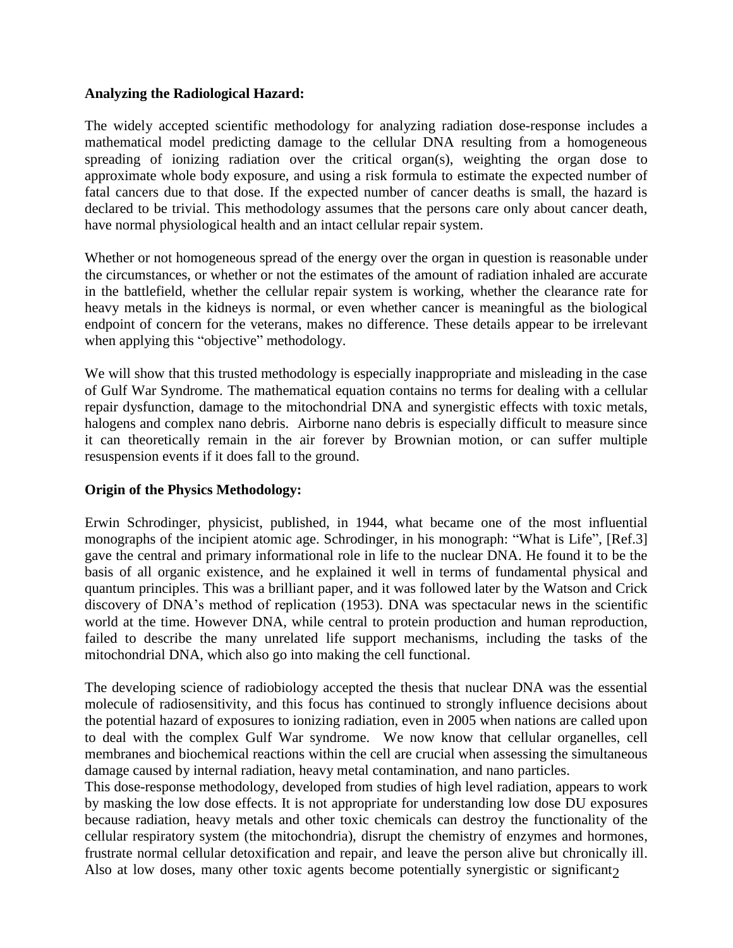#### **Analyzing the Radiological Hazard:**

The widely accepted scientific methodology for analyzing radiation dose-response includes a mathematical model predicting damage to the cellular DNA resulting from a homogeneous spreading of ionizing radiation over the critical organ(s), weighting the organ dose to approximate whole body exposure, and using a risk formula to estimate the expected number of fatal cancers due to that dose. If the expected number of cancer deaths is small, the hazard is declared to be trivial. This methodology assumes that the persons care only about cancer death, have normal physiological health and an intact cellular repair system.

Whether or not homogeneous spread of the energy over the organ in question is reasonable under the circumstances, or whether or not the estimates of the amount of radiation inhaled are accurate in the battlefield, whether the cellular repair system is working, whether the clearance rate for heavy metals in the kidneys is normal, or even whether cancer is meaningful as the biological endpoint of concern for the veterans, makes no difference. These details appear to be irrelevant when applying this "objective" methodology.

We will show that this trusted methodology is especially inappropriate and misleading in the case of Gulf War Syndrome. The mathematical equation contains no terms for dealing with a cellular repair dysfunction, damage to the mitochondrial DNA and synergistic effects with toxic metals, halogens and complex nano debris. Airborne nano debris is especially difficult to measure since it can theoretically remain in the air forever by Brownian motion, or can suffer multiple resuspension events if it does fall to the ground.

#### **Origin of the Physics Methodology:**

Erwin Schrodinger, physicist, published, in 1944, what became one of the most influential monographs of the incipient atomic age. Schrodinger, in his monograph: "What is Life", [Ref.3] gave the central and primary informational role in life to the nuclear DNA. He found it to be the basis of all organic existence, and he explained it well in terms of fundamental physical and quantum principles. This was a brilliant paper, and it was followed later by the Watson and Crick discovery of DNA's method of replication (1953). DNA was spectacular news in the scientific world at the time. However DNA, while central to protein production and human reproduction, failed to describe the many unrelated life support mechanisms, including the tasks of the mitochondrial DNA, which also go into making the cell functional.

The developing science of radiobiology accepted the thesis that nuclear DNA was the essential molecule of radiosensitivity, and this focus has continued to strongly influence decisions about the potential hazard of exposures to ionizing radiation, even in 2005 when nations are called upon to deal with the complex Gulf War syndrome. We now know that cellular organelles, cell membranes and biochemical reactions within the cell are crucial when assessing the simultaneous damage caused by internal radiation, heavy metal contamination, and nano particles.

Also at low doses, many other toxic agents become potentially synergistic or significant<sub>2</sub> This dose-response methodology, developed from studies of high level radiation, appears to work by masking the low dose effects. It is not appropriate for understanding low dose DU exposures because radiation, heavy metals and other toxic chemicals can destroy the functionality of the cellular respiratory system (the mitochondria), disrupt the chemistry of enzymes and hormones, frustrate normal cellular detoxification and repair, and leave the person alive but chronically ill.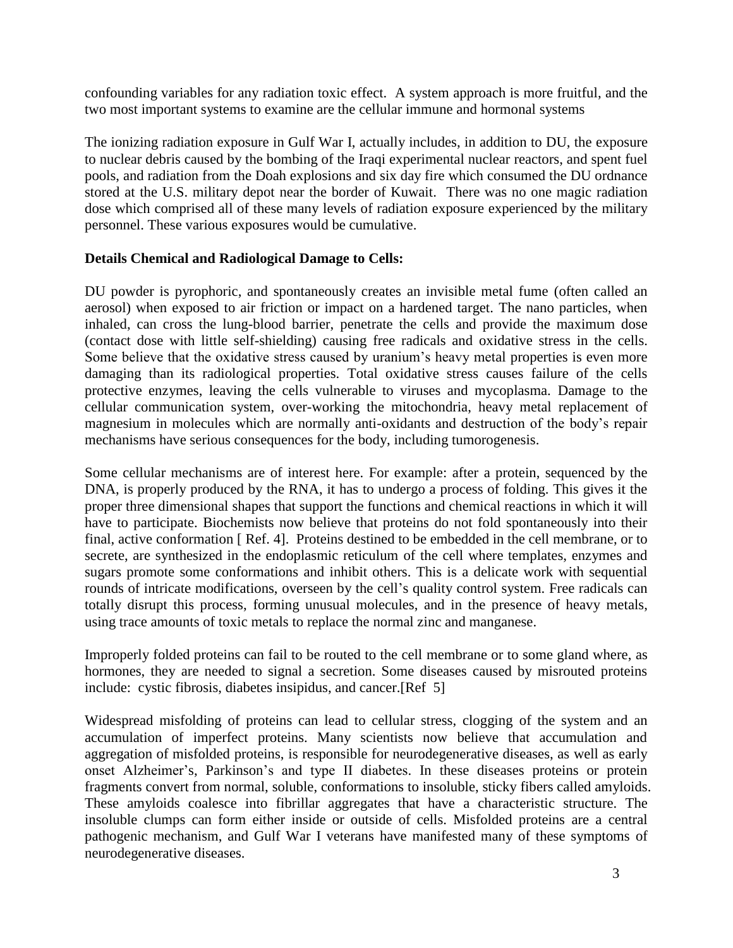confounding variables for any radiation toxic effect. A system approach is more fruitful, and the two most important systems to examine are the cellular immune and hormonal systems

The ionizing radiation exposure in Gulf War I, actually includes, in addition to DU, the exposure to nuclear debris caused by the bombing of the Iraqi experimental nuclear reactors, and spent fuel pools, and radiation from the Doah explosions and six day fire which consumed the DU ordnance stored at the U.S. military depot near the border of Kuwait. There was no one magic radiation dose which comprised all of these many levels of radiation exposure experienced by the military personnel. These various exposures would be cumulative.

# **Details Chemical and Radiological Damage to Cells:**

DU powder is pyrophoric, and spontaneously creates an invisible metal fume (often called an aerosol) when exposed to air friction or impact on a hardened target. The nano particles, when inhaled, can cross the lung-blood barrier, penetrate the cells and provide the maximum dose (contact dose with little self-shielding) causing free radicals and oxidative stress in the cells. Some believe that the oxidative stress caused by uranium's heavy metal properties is even more damaging than its radiological properties. Total oxidative stress causes failure of the cells protective enzymes, leaving the cells vulnerable to viruses and mycoplasma. Damage to the cellular communication system, over-working the mitochondria, heavy metal replacement of magnesium in molecules which are normally anti-oxidants and destruction of the body's repair mechanisms have serious consequences for the body, including tumorogenesis.

Some cellular mechanisms are of interest here. For example: after a protein, sequenced by the DNA, is properly produced by the RNA, it has to undergo a process of folding. This gives it the proper three dimensional shapes that support the functions and chemical reactions in which it will have to participate. Biochemists now believe that proteins do not fold spontaneously into their final, active conformation [ Ref. 4]. Proteins destined to be embedded in the cell membrane, or to secrete, are synthesized in the endoplasmic reticulum of the cell where templates, enzymes and sugars promote some conformations and inhibit others. This is a delicate work with sequential rounds of intricate modifications, overseen by the cell's quality control system. Free radicals can totally disrupt this process, forming unusual molecules, and in the presence of heavy metals, using trace amounts of toxic metals to replace the normal zinc and manganese.

Improperly folded proteins can fail to be routed to the cell membrane or to some gland where, as hormones, they are needed to signal a secretion. Some diseases caused by misrouted proteins include: cystic fibrosis, diabetes insipidus, and cancer.[Ref 5]

Widespread misfolding of proteins can lead to cellular stress, clogging of the system and an accumulation of imperfect proteins. Many scientists now believe that accumulation and aggregation of misfolded proteins, is responsible for neurodegenerative diseases, as well as early onset Alzheimer's, Parkinson's and type II diabetes. In these diseases proteins or protein fragments convert from normal, soluble, conformations to insoluble, sticky fibers called amyloids. These amyloids coalesce into fibrillar aggregates that have a characteristic structure. The insoluble clumps can form either inside or outside of cells. Misfolded proteins are a central pathogenic mechanism, and Gulf War I veterans have manifested many of these symptoms of neurodegenerative diseases.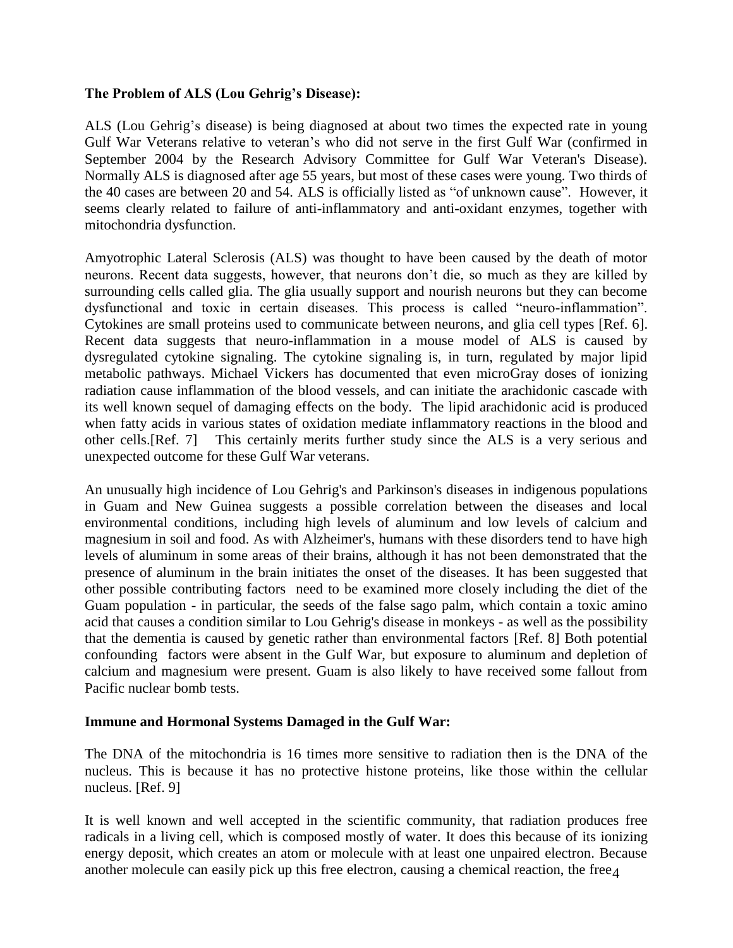### **The Problem of ALS (Lou Gehrig's Disease):**

ALS (Lou Gehrig's disease) is being diagnosed at about two times the expected rate in young Gulf War Veterans relative to veteran's who did not serve in the first Gulf War (confirmed in September 2004 by the Research Advisory Committee for Gulf War Veteran's Disease). Normally ALS is diagnosed after age 55 years, but most of these cases were young. Two thirds of the 40 cases are between 20 and 54. ALS is officially listed as "of unknown cause". However, it seems clearly related to failure of anti-inflammatory and anti-oxidant enzymes, together with mitochondria dysfunction.

Amyotrophic Lateral Sclerosis (ALS) was thought to have been caused by the death of motor neurons. Recent data suggests, however, that neurons don't die, so much as they are killed by surrounding cells called glia. The glia usually support and nourish neurons but they can become dysfunctional and toxic in certain diseases. This process is called "neuro-inflammation". Cytokines are small proteins used to communicate between neurons, and glia cell types [Ref. 6]. Recent data suggests that neuro-inflammation in a mouse model of ALS is caused by dysregulated cytokine signaling. The cytokine signaling is, in turn, regulated by major lipid metabolic pathways. Michael Vickers has documented that even microGray doses of ionizing radiation cause inflammation of the blood vessels, and can initiate the arachidonic cascade with its well known sequel of damaging effects on the body. The lipid arachidonic acid is produced when fatty acids in various states of oxidation mediate inflammatory reactions in the blood and other cells.[Ref. 7] This certainly merits further study since the ALS is a very serious and unexpected outcome for these Gulf War veterans.

An unusually high incidence of Lou Gehrig's and Parkinson's diseases in indigenous populations in Guam and New Guinea suggests a possible correlation between the diseases and local environmental conditions, including high levels of aluminum and low levels of calcium and magnesium in soil and food. As with Alzheimer's, humans with these disorders tend to have high levels of aluminum in some areas of their brains, although it has not been demonstrated that the presence of aluminum in the brain initiates the onset of the diseases. It has been suggested that other possible contributing factors need to be examined more closely including the diet of the Guam population - in particular, the seeds of the false sago palm, which contain a toxic amino acid that causes a condition similar to Lou Gehrig's disease in monkeys - as well as the possibility that the dementia is caused by genetic rather than environmental factors [Ref. 8] Both potential confounding factors were absent in the Gulf War, but exposure to aluminum and depletion of calcium and magnesium were present. Guam is also likely to have received some fallout from Pacific nuclear bomb tests.

#### **Immune and Hormonal Systems Damaged in the Gulf War:**

The DNA of the mitochondria is 16 times more sensitive to radiation then is the DNA of the nucleus. This is because it has no protective histone proteins, like those within the cellular nucleus. [Ref. 9]

another molecule can easily pick up this free electron, causing a chemical reaction, the free $_4$ It is well known and well accepted in the scientific community, that radiation produces free radicals in a living cell, which is composed mostly of water. It does this because of its ionizing energy deposit, which creates an atom or molecule with at least one unpaired electron. Because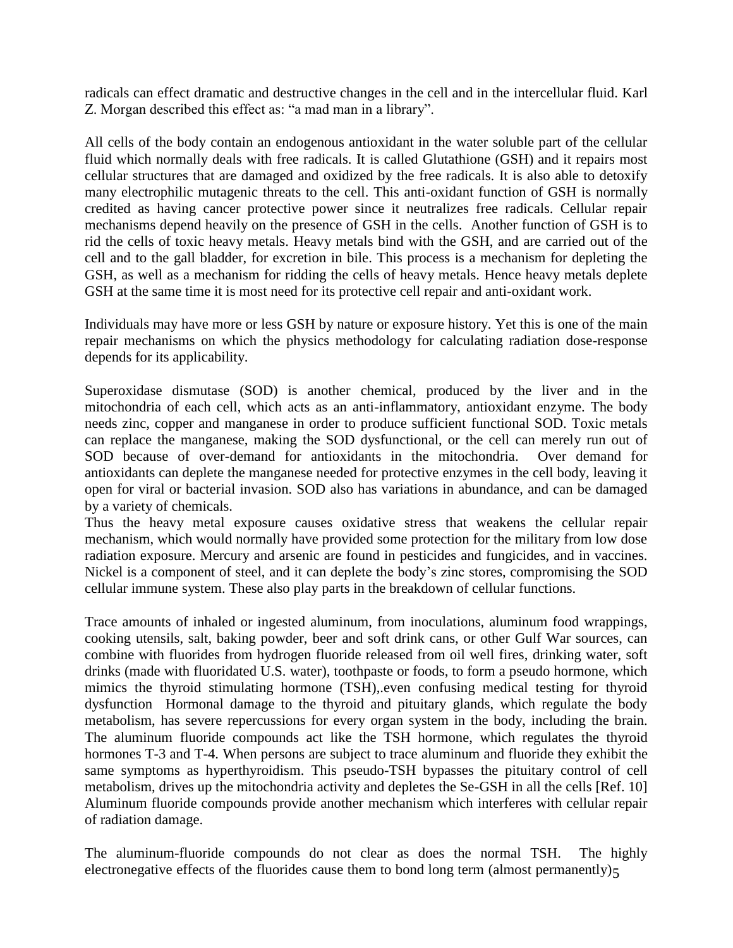radicals can effect dramatic and destructive changes in the cell and in the intercellular fluid. Karl Z. Morgan described this effect as: "a mad man in a library".

All cells of the body contain an endogenous antioxidant in the water soluble part of the cellular fluid which normally deals with free radicals. It is called Glutathione (GSH) and it repairs most cellular structures that are damaged and oxidized by the free radicals. It is also able to detoxify many electrophilic mutagenic threats to the cell. This anti-oxidant function of GSH is normally credited as having cancer protective power since it neutralizes free radicals. Cellular repair mechanisms depend heavily on the presence of GSH in the cells. Another function of GSH is to rid the cells of toxic heavy metals. Heavy metals bind with the GSH, and are carried out of the cell and to the gall bladder, for excretion in bile. This process is a mechanism for depleting the GSH, as well as a mechanism for ridding the cells of heavy metals. Hence heavy metals deplete GSH at the same time it is most need for its protective cell repair and anti-oxidant work.

Individuals may have more or less GSH by nature or exposure history. Yet this is one of the main repair mechanisms on which the physics methodology for calculating radiation dose-response depends for its applicability.

Superoxidase dismutase (SOD) is another chemical, produced by the liver and in the mitochondria of each cell, which acts as an anti-inflammatory, antioxidant enzyme. The body needs zinc, copper and manganese in order to produce sufficient functional SOD. Toxic metals can replace the manganese, making the SOD dysfunctional, or the cell can merely run out of SOD because of over-demand for antioxidants in the mitochondria. Over demand for antioxidants can deplete the manganese needed for protective enzymes in the cell body, leaving it open for viral or bacterial invasion. SOD also has variations in abundance, and can be damaged by a variety of chemicals.

Thus the heavy metal exposure causes oxidative stress that weakens the cellular repair mechanism, which would normally have provided some protection for the military from low dose radiation exposure. Mercury and arsenic are found in pesticides and fungicides, and in vaccines. Nickel is a component of steel, and it can deplete the body's zinc stores, compromising the SOD cellular immune system. These also play parts in the breakdown of cellular functions.

Trace amounts of inhaled or ingested aluminum, from inoculations, aluminum food wrappings, cooking utensils, salt, baking powder, beer and soft drink cans, or other Gulf War sources, can combine with fluorides from hydrogen fluoride released from oil well fires, drinking water, soft drinks (made with fluoridated U.S. water), toothpaste or foods, to form a pseudo hormone, which mimics the thyroid stimulating hormone (TSH),.even confusing medical testing for thyroid dysfunction Hormonal damage to the thyroid and pituitary glands, which regulate the body metabolism, has severe repercussions for every organ system in the body, including the brain. The aluminum fluoride compounds act like the TSH hormone, which regulates the thyroid hormones T-3 and T-4. When persons are subject to trace aluminum and fluoride they exhibit the same symptoms as hyperthyroidism. This pseudo-TSH bypasses the pituitary control of cell metabolism, drives up the mitochondria activity and depletes the Se-GSH in all the cells [Ref. 10] Aluminum fluoride compounds provide another mechanism which interferes with cellular repair of radiation damage.

electronegative effects of the fluorides cause them to bond long term (almost permanently)<sub>5</sub> The aluminum-fluoride compounds do not clear as does the normal TSH. The highly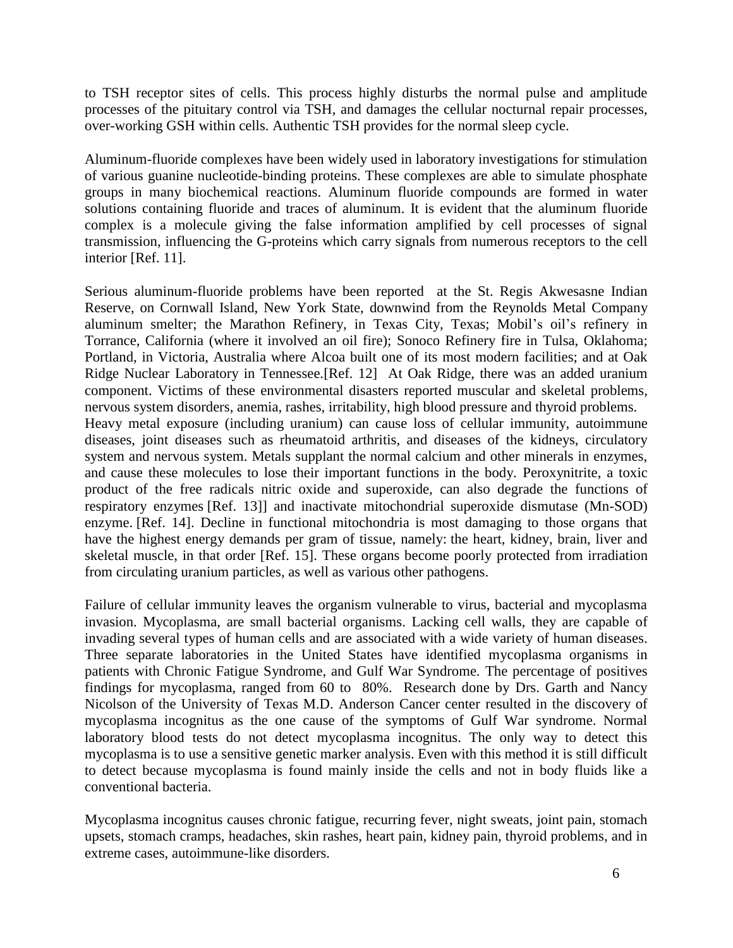to TSH receptor sites of cells. This process highly disturbs the normal pulse and amplitude processes of the pituitary control via TSH, and damages the cellular nocturnal repair processes, over-working GSH within cells. Authentic TSH provides for the normal sleep cycle.

Aluminum-fluoride complexes have been widely used in laboratory investigations for stimulation of various guanine nucleotide-binding proteins. These complexes are able to simulate phosphate groups in many biochemical reactions. Aluminum fluoride compounds are formed in water solutions containing fluoride and traces of aluminum. It is evident that the aluminum fluoride complex is a molecule giving the false information amplified by cell processes of signal transmission, influencing the G-proteins which carry signals from numerous receptors to the cell interior [Ref. 11].

Serious aluminum-fluoride problems have been reported at the St. Regis Akwesasne Indian Reserve, on Cornwall Island, New York State, downwind from the Reynolds Metal Company aluminum smelter; the Marathon Refinery, in Texas City, Texas; Mobil's oil's refinery in Torrance, California (where it involved an oil fire); Sonoco Refinery fire in Tulsa, Oklahoma; Portland, in Victoria, Australia where Alcoa built one of its most modern facilities; and at Oak Ridge Nuclear Laboratory in Tennessee.[Ref. 12] At Oak Ridge, there was an added uranium component. Victims of these environmental disasters reported muscular and skeletal problems, nervous system disorders, anemia, rashes, irritability, high blood pressure and thyroid problems. Heavy metal exposure (including uranium) can cause loss of cellular immunity, autoimmune diseases, joint diseases such as rheumatoid arthritis, and diseases of the kidneys, circulatory system and nervous system. Metals supplant the normal calcium and other minerals in enzymes, and cause these molecules to lose their important functions in the body. Peroxynitrite, a toxic product of the free radicals nitric oxide and superoxide, can also degrade the functions of respiratory enzymes [Ref. 13]] and inactivate mitochondrial superoxide dismutase (Mn-SOD) enzyme. [Ref. 14]. Decline in functional mitochondria is most damaging to those organs that have the highest energy demands per gram of tissue, namely: the heart, kidney, brain, liver and skeletal muscle, in that order [Ref. 15]. These organs become poorly protected from irradiation from circulating uranium particles, as well as various other pathogens.

Failure of cellular immunity leaves the organism vulnerable to virus, bacterial and mycoplasma invasion. Mycoplasma, are small bacterial organisms. Lacking cell walls, they are capable of invading several types of human cells and are associated with a wide variety of human diseases. Three separate laboratories in the United States have identified mycoplasma organisms in patients with Chronic Fatigue Syndrome, and Gulf War Syndrome. The percentage of positives findings for mycoplasma, ranged from 60 to 80%. Research done by Drs. Garth and Nancy Nicolson of the University of Texas M.D. Anderson Cancer center resulted in the discovery of mycoplasma incognitus as the one cause of the symptoms of Gulf War syndrome. Normal laboratory blood tests do not detect mycoplasma incognitus. The only way to detect this mycoplasma is to use a sensitive genetic marker analysis. Even with this method it is still difficult to detect because mycoplasma is found mainly inside the cells and not in body fluids like a conventional bacteria.

Mycoplasma incognitus causes chronic fatigue, recurring fever, night sweats, joint pain, stomach upsets, stomach cramps, headaches, skin rashes, heart pain, kidney pain, thyroid problems, and in extreme cases, autoimmune-like disorders.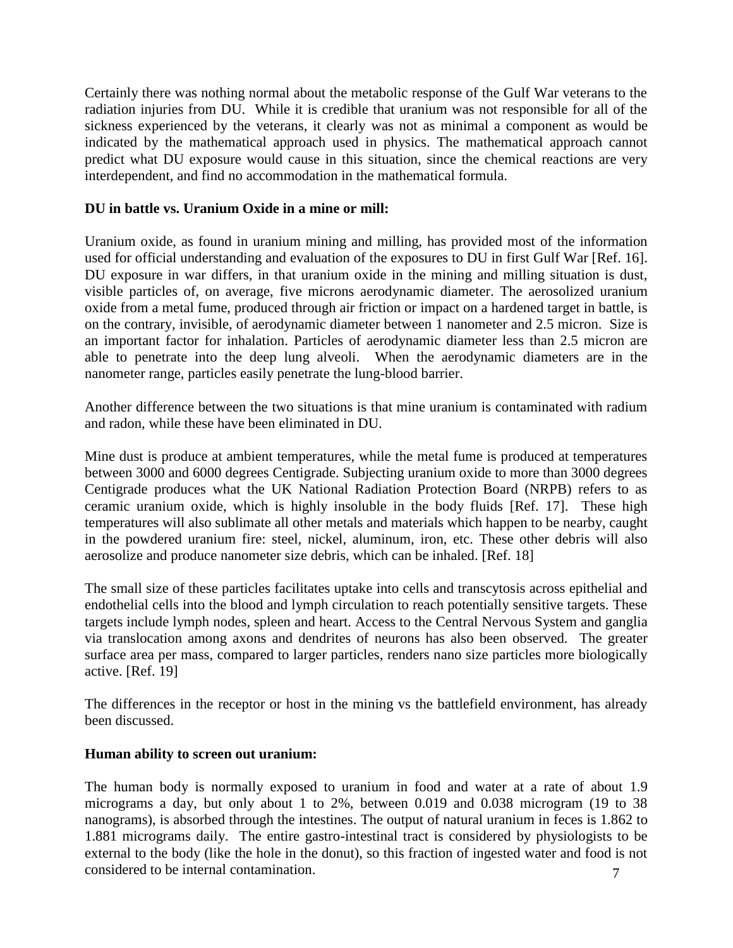Certainly there was nothing normal about the metabolic response of the Gulf War veterans to the radiation injuries from DU. While it is credible that uranium was not responsible for all of the sickness experienced by the veterans, it clearly was not as minimal a component as would be indicated by the mathematical approach used in physics. The mathematical approach cannot predict what DU exposure would cause in this situation, since the chemical reactions are very interdependent, and find no accommodation in the mathematical formula.

### **DU in battle vs. Uranium Oxide in a mine or mill:**

Uranium oxide, as found in uranium mining and milling, has provided most of the information used for official understanding and evaluation of the exposures to DU in first Gulf War [Ref. 16]. DU exposure in war differs, in that uranium oxide in the mining and milling situation is dust, visible particles of, on average, five microns aerodynamic diameter. The aerosolized uranium oxide from a metal fume, produced through air friction or impact on a hardened target in battle, is on the contrary, invisible, of aerodynamic diameter between 1 nanometer and 2.5 micron. Size is an important factor for inhalation. Particles of aerodynamic diameter less than 2.5 micron are able to penetrate into the deep lung alveoli. When the aerodynamic diameters are in the nanometer range, particles easily penetrate the lung-blood barrier.

Another difference between the two situations is that mine uranium is contaminated with radium and radon, while these have been eliminated in DU.

Mine dust is produce at ambient temperatures, while the metal fume is produced at temperatures between 3000 and 6000 degrees Centigrade. Subjecting uranium oxide to more than 3000 degrees Centigrade produces what the UK National Radiation Protection Board (NRPB) refers to as ceramic uranium oxide, which is highly insoluble in the body fluids [Ref. 17]. These high temperatures will also sublimate all other metals and materials which happen to be nearby, caught in the powdered uranium fire: steel, nickel, aluminum, iron, etc. These other debris will also aerosolize and produce nanometer size debris, which can be inhaled. [Ref. 18]

The small size of these particles facilitates uptake into cells and transcytosis across epithelial and endothelial cells into the blood and lymph circulation to reach potentially sensitive targets. These targets include lymph nodes, spleen and heart. Access to the Central Nervous System and ganglia via translocation among axons and dendrites of neurons has also been observed. The greater surface area per mass, compared to larger particles, renders nano size particles more biologically active. [Ref. 19]

The differences in the receptor or host in the mining vs the battlefield environment, has already been discussed.

#### **Human ability to screen out uranium:**

The human body is normally exposed to uranium in food and water at a rate of about 1.9 micrograms a day, but only about 1 to 2%, between 0.019 and 0.038 microgram (19 to 38 nanograms), is absorbed through the intestines. The output of natural uranium in feces is 1.862 to 1.881 micrograms daily. The entire gastro-intestinal tract is considered by physiologists to be external to the body (like the hole in the donut), so this fraction of ingested water and food is not considered to be internal contamination.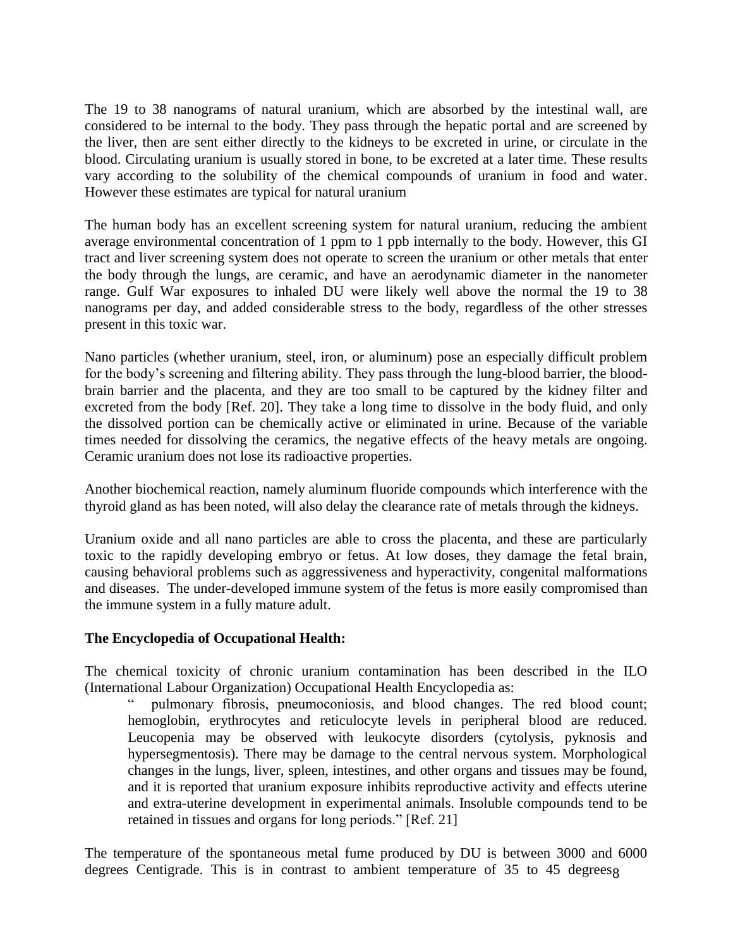The 19 to 38 nanograms of natural uranium, which are absorbed by the intestinal wall, are considered to be internal to the body. They pass through the hepatic portal and are screened by the liver, then are sent either directly to the kidneys to be excreted in urine, or circulate in the blood. Circulating uranium is usually stored in bone, to be excreted at a later time. These results vary according to the solubility of the chemical compounds of uranium in food and water. However these estimates are typical for natural uranium

The human body has an excellent screening system for natural uranium, reducing the ambient average environmental concentration of 1 ppm to 1 ppb internally to the body. However, this GI tract and liver screening system does not operate to screen the uranium or other metals that enter the body through the lungs, are ceramic, and have an aerodynamic diameter in the nanometer range. Gulf War exposures to inhaled DU were likely well above the normal the 19 to 38 nanograms per day, and added considerable stress to the body, regardless of the other stresses present in this toxic war.

Nano particles (whether uranium, steel, iron, or aluminum) pose an especially difficult problem for the body's screening and filtering ability. They pass through the lung-blood barrier, the bloodbrain barrier and the placenta, and they are too small to be captured by the kidney filter and excreted from the body [Ref. 20]. They take a long time to dissolve in the body fluid, and only the dissolved portion can be chemically active or eliminated in urine. Because of the variable times needed for dissolving the ceramics, the negative effects of the heavy metals are ongoing. Ceramic uranium does not lose its radioactive properties.

Another biochemical reaction, namely aluminum fluoride compounds which interference with the thyroid gland as has been noted, will also delay the clearance rate of metals through the kidneys.

Uranium oxide and all nano particles are able to cross the placenta, and these are particularly toxic to the rapidly developing embryo or fetus. At low doses, they damage the fetal brain, causing behavioral problems such as aggressiveness and hyperactivity, congenital malformations and diseases. The under-developed immune system of the fetus is more easily compromised than the immune system in a fully mature adult.

# **The Encyclopedia of Occupational Health:**

The chemical toxicity of chronic uranium contamination has been described in the ILO (International Labour Organization) Occupational Health Encyclopedia as:

pulmonary fibrosis, pneumoconiosis, and blood changes. The red blood count; hemoglobin, erythrocytes and reticulocyte levels in peripheral blood are reduced. Leucopenia may be observed with leukocyte disorders (cytolysis, pyknosis and hypersegmentosis). There may be damage to the central nervous system. Morphological changes in the lungs, liver, spleen, intestines, and other organs and tissues may be found, and it is reported that uranium exposure inhibits reproductive activity and effects uterine and extra-uterine development in experimental animals. Insoluble compounds tend to be retained in tissues and organs for long periods." [Ref. 21]

degrees Centigrade. This is in contrast to ambient temperature of 35 to 45 degrees The temperature of the spontaneous metal fume produced by DU is between 3000 and 6000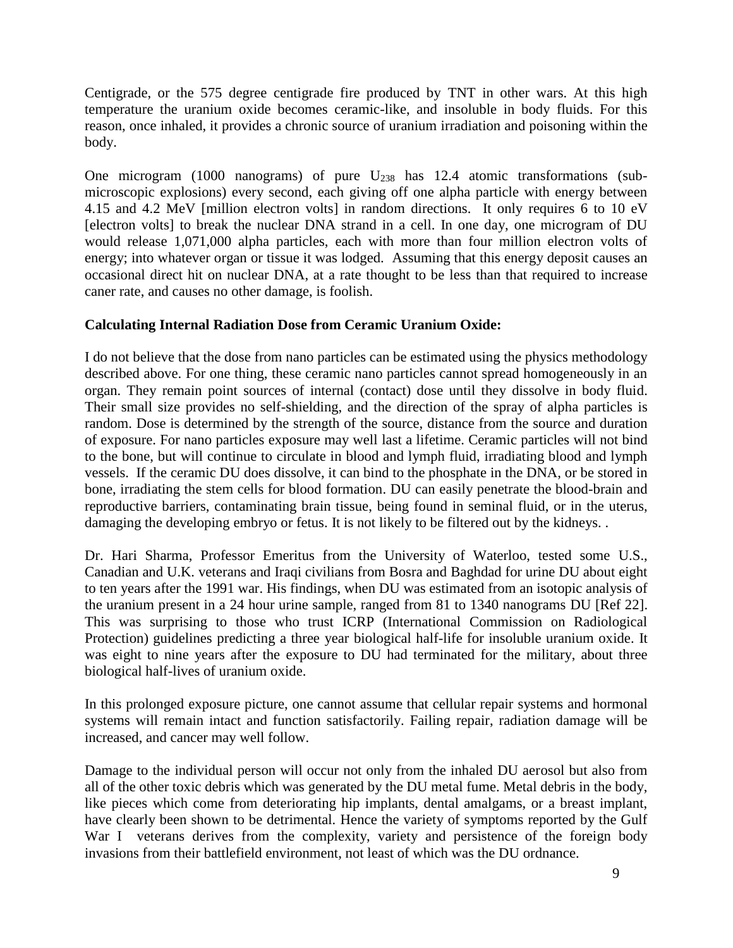Centigrade, or the 575 degree centigrade fire produced by TNT in other wars. At this high temperature the uranium oxide becomes ceramic-like, and insoluble in body fluids. For this reason, once inhaled, it provides a chronic source of uranium irradiation and poisoning within the body.

One microgram (1000 nanograms) of pure  $U_{238}$  has 12.4 atomic transformations (submicroscopic explosions) every second, each giving off one alpha particle with energy between 4.15 and 4.2 MeV [million electron volts] in random directions. It only requires 6 to 10 eV [electron volts] to break the nuclear DNA strand in a cell. In one day, one microgram of DU would release 1,071,000 alpha particles, each with more than four million electron volts of energy; into whatever organ or tissue it was lodged. Assuming that this energy deposit causes an occasional direct hit on nuclear DNA, at a rate thought to be less than that required to increase caner rate, and causes no other damage, is foolish.

### **Calculating Internal Radiation Dose from Ceramic Uranium Oxide:**

I do not believe that the dose from nano particles can be estimated using the physics methodology described above. For one thing, these ceramic nano particles cannot spread homogeneously in an organ. They remain point sources of internal (contact) dose until they dissolve in body fluid. Their small size provides no self-shielding, and the direction of the spray of alpha particles is random. Dose is determined by the strength of the source, distance from the source and duration of exposure. For nano particles exposure may well last a lifetime. Ceramic particles will not bind to the bone, but will continue to circulate in blood and lymph fluid, irradiating blood and lymph vessels. If the ceramic DU does dissolve, it can bind to the phosphate in the DNA, or be stored in bone, irradiating the stem cells for blood formation. DU can easily penetrate the blood-brain and reproductive barriers, contaminating brain tissue, being found in seminal fluid, or in the uterus, damaging the developing embryo or fetus. It is not likely to be filtered out by the kidneys. .

Dr. Hari Sharma, Professor Emeritus from the University of Waterloo, tested some U.S., Canadian and U.K. veterans and Iraqi civilians from Bosra and Baghdad for urine DU about eight to ten years after the 1991 war. His findings, when DU was estimated from an isotopic analysis of the uranium present in a 24 hour urine sample, ranged from 81 to 1340 nanograms DU [Ref 22]. This was surprising to those who trust ICRP (International Commission on Radiological Protection) guidelines predicting a three year biological half-life for insoluble uranium oxide. It was eight to nine years after the exposure to DU had terminated for the military, about three biological half-lives of uranium oxide.

In this prolonged exposure picture, one cannot assume that cellular repair systems and hormonal systems will remain intact and function satisfactorily. Failing repair, radiation damage will be increased, and cancer may well follow.

Damage to the individual person will occur not only from the inhaled DU aerosol but also from all of the other toxic debris which was generated by the DU metal fume. Metal debris in the body, like pieces which come from deteriorating hip implants, dental amalgams, or a breast implant, have clearly been shown to be detrimental. Hence the variety of symptoms reported by the Gulf War I veterans derives from the complexity, variety and persistence of the foreign body invasions from their battlefield environment, not least of which was the DU ordnance.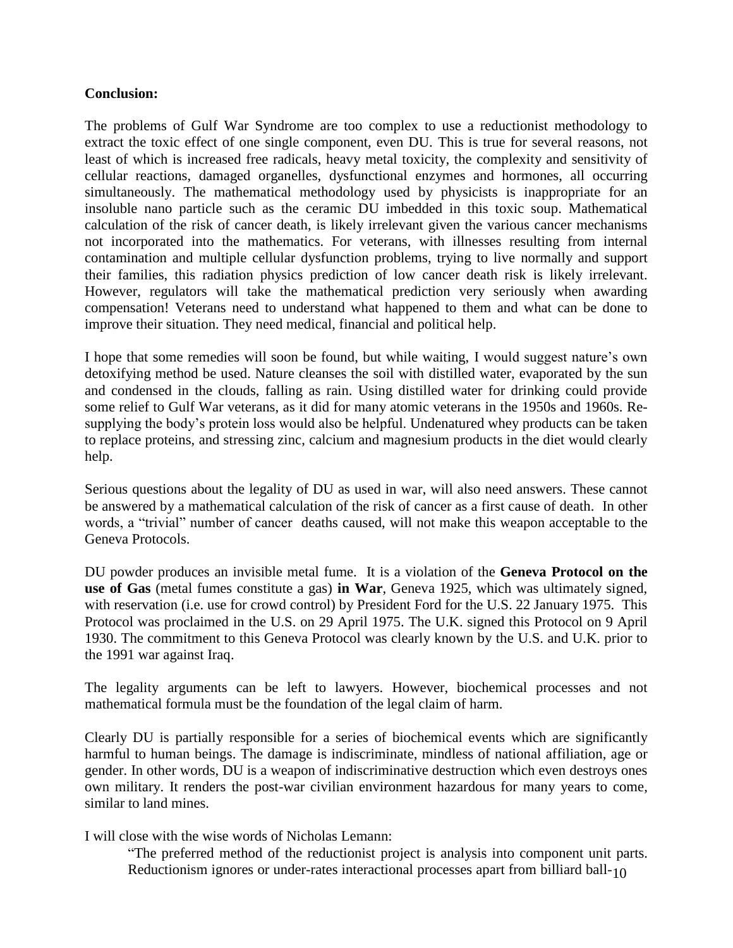#### **Conclusion:**

The problems of Gulf War Syndrome are too complex to use a reductionist methodology to extract the toxic effect of one single component, even DU. This is true for several reasons, not least of which is increased free radicals, heavy metal toxicity, the complexity and sensitivity of cellular reactions, damaged organelles, dysfunctional enzymes and hormones, all occurring simultaneously. The mathematical methodology used by physicists is inappropriate for an insoluble nano particle such as the ceramic DU imbedded in this toxic soup. Mathematical calculation of the risk of cancer death, is likely irrelevant given the various cancer mechanisms not incorporated into the mathematics. For veterans, with illnesses resulting from internal contamination and multiple cellular dysfunction problems, trying to live normally and support their families, this radiation physics prediction of low cancer death risk is likely irrelevant. However, regulators will take the mathematical prediction very seriously when awarding compensation! Veterans need to understand what happened to them and what can be done to improve their situation. They need medical, financial and political help.

I hope that some remedies will soon be found, but while waiting, I would suggest nature's own detoxifying method be used. Nature cleanses the soil with distilled water, evaporated by the sun and condensed in the clouds, falling as rain. Using distilled water for drinking could provide some relief to Gulf War veterans, as it did for many atomic veterans in the 1950s and 1960s. Resupplying the body's protein loss would also be helpful. Undenatured whey products can be taken to replace proteins, and stressing zinc, calcium and magnesium products in the diet would clearly help.

Serious questions about the legality of DU as used in war, will also need answers. These cannot be answered by a mathematical calculation of the risk of cancer as a first cause of death. In other words, a "trivial" number of cancer deaths caused, will not make this weapon acceptable to the Geneva Protocols.

DU powder produces an invisible metal fume. It is a violation of the **Geneva Protocol on the use of Gas** (metal fumes constitute a gas) **in War**, Geneva 1925, which was ultimately signed, with reservation (i.e. use for crowd control) by President Ford for the U.S. 22 January 1975. This Protocol was proclaimed in the U.S. on 29 April 1975. The U.K. signed this Protocol on 9 April 1930. The commitment to this Geneva Protocol was clearly known by the U.S. and U.K. prior to the 1991 war against Iraq.

The legality arguments can be left to lawyers. However, biochemical processes and not mathematical formula must be the foundation of the legal claim of harm.

Clearly DU is partially responsible for a series of biochemical events which are significantly harmful to human beings. The damage is indiscriminate, mindless of national affiliation, age or gender. In other words, DU is a weapon of indiscriminative destruction which even destroys ones own military. It renders the post-war civilian environment hazardous for many years to come, similar to land mines.

I will close with the wise words of Nicholas Lemann:

Reductionism ignores or under-rates interactional processes apart from billiard ball- $_{\rm 10}$ "The preferred method of the reductionist project is analysis into component unit parts.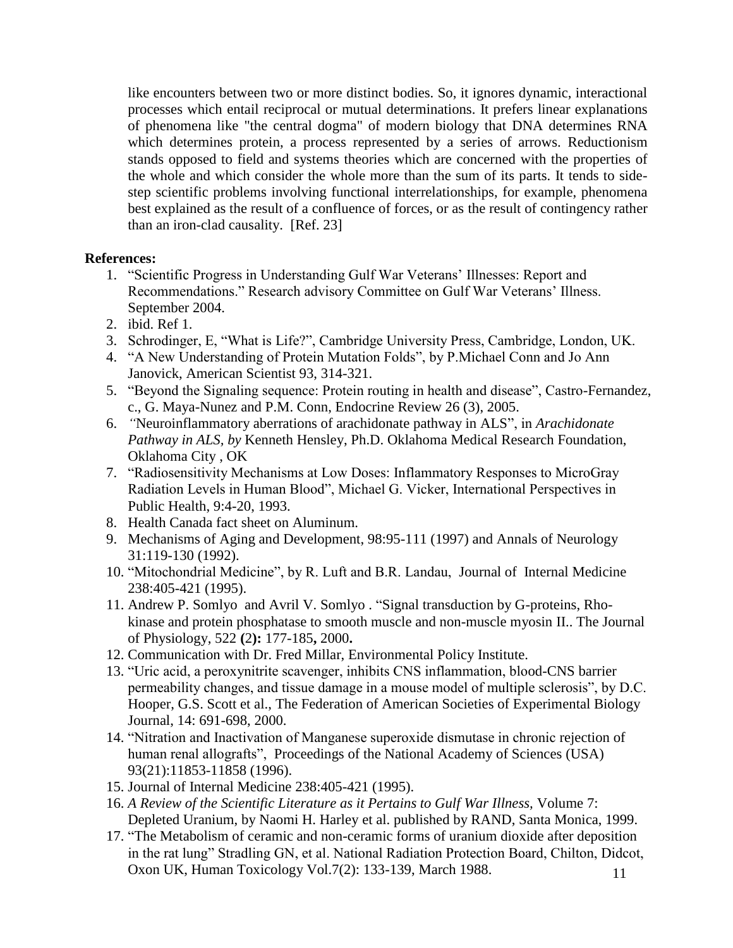like encounters between two or more distinct bodies. So, it ignores dynamic, interactional processes which entail reciprocal or mutual determinations. It prefers linear explanations of phenomena like "the central dogma" of modern biology that DNA determines RNA which determines protein, a process represented by a series of arrows. Reductionism stands opposed to field and systems theories which are concerned with the properties of the whole and which consider the whole more than the sum of its parts. It tends to sidestep scientific problems involving functional interrelationships, for example, phenomena best explained as the result of a confluence of forces, or as the result of contingency rather than an iron-clad causality. [Ref. 23]

### **References:**

- 1. "Scientific Progress in Understanding Gulf War Veterans' Illnesses: Report and Recommendations." Research advisory Committee on Gulf War Veterans' Illness. September 2004.
- 2. ibid. Ref 1.
- 3. Schrodinger, E, "What is Life?", Cambridge University Press, Cambridge, London, UK.
- 4. "A New Understanding of Protein Mutation Folds", by P.Michael Conn and Jo Ann Janovick, American Scientist 93, 314-321.
- 5. "Beyond the Signaling sequence: Protein routing in health and disease", Castro-Fernandez, c., G. Maya-Nunez and P.M. Conn, Endocrine Review 26 (3), 2005.
- 6. *"*Neuroinflammatory aberrations of arachidonate pathway in ALS", in *Arachidonate Pathway in ALS, by* Kenneth Hensley, Ph.D. Oklahoma Medical Research Foundation, Oklahoma City , OK
- 7. "Radiosensitivity Mechanisms at Low Doses: Inflammatory Responses to MicroGray Radiation Levels in Human Blood", Michael G. Vicker, International Perspectives in Public Health, 9:4-20, 1993.
- 8. Health Canada fact sheet on Aluminum.
- 9. Mechanisms of Aging and Development, 98:95-111 (1997) and Annals of Neurology 31:119-130 (1992).
- 10. "Mitochondrial Medicine", by R. Luft and B.R. Landau, Journal of Internal Medicine 238:405-421 (1995).
- 11. Andrew P. Somlyo and Avril V. Somlyo . "Signal transduction by G-proteins, Rhokinase and protein phosphatase to smooth muscle and non-muscle myosin II.. The Journal of Physiology, 522 **(**2**):** 177-185**,** 2000**.**
- 12. Communication with Dr. Fred Millar, Environmental Policy Institute.
- 13. "Uric acid, a peroxynitrite scavenger, inhibits CNS inflammation, blood-CNS barrier permeability changes, and tissue damage in a mouse model of multiple sclerosis", by D.C. Hooper, G.S. Scott et al., The Federation of American Societies of Experimental Biology Journal, 14: 691-698, 2000.
- 14. "Nitration and Inactivation of Manganese superoxide dismutase in chronic rejection of human renal allografts", Proceedings of the National Academy of Sciences (USA) 93(21):11853-11858 (1996).
- 15. Journal of Internal Medicine 238:405-421 (1995).
- 16. *A Review of the Scientific Literature as it Pertains to Gulf War Illness,* Volume 7: Depleted Uranium, by Naomi H. Harley et al. published by RAND, Santa Monica, 1999.
- 17. "The Metabolism of ceramic and non-ceramic forms of uranium dioxide after deposition in the rat lung" Stradling GN, et al. National Radiation Protection Board, Chilton, Didcot, Oxon UK, Human Toxicology Vol.7(2): 133-139, March 1988.